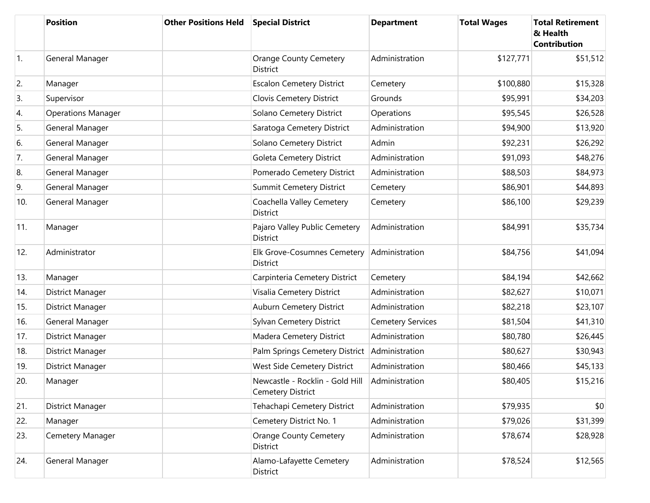|     | <b>Position</b>           | <b>Other Positions Held</b> | <b>Special District</b>                                     | <b>Department</b>        | <b>Total Wages</b> | <b>Total Retirement</b><br>& Health<br><b>Contribution</b> |
|-----|---------------------------|-----------------------------|-------------------------------------------------------------|--------------------------|--------------------|------------------------------------------------------------|
| 1.  | General Manager           |                             | <b>Orange County Cemetery</b><br><b>District</b>            | Administration           | \$127,771          | \$51,512                                                   |
| 2.  | Manager                   |                             | <b>Escalon Cemetery District</b>                            | Cemetery                 | \$100,880          | \$15,328                                                   |
| 3.  | Supervisor                |                             | Clovis Cemetery District                                    | Grounds                  | \$95,991           | \$34,203                                                   |
| 4.  | <b>Operations Manager</b> |                             | Solano Cemetery District                                    | Operations               | \$95,545           | \$26,528                                                   |
| 5.  | General Manager           |                             | Saratoga Cemetery District                                  | Administration           | \$94,900           | \$13,920                                                   |
| 6.  | General Manager           |                             | Solano Cemetery District                                    | Admin                    | \$92,231           | \$26,292                                                   |
| 7.  | General Manager           |                             | Goleta Cemetery District                                    | Administration           | \$91,093           | \$48,276                                                   |
| 8.  | General Manager           |                             | Pomerado Cemetery District                                  | Administration           | \$88,503           | \$84,973                                                   |
| 9.  | General Manager           |                             | <b>Summit Cemetery District</b>                             | Cemetery                 | \$86,901           | \$44,893                                                   |
| 10. | General Manager           |                             | Coachella Valley Cemetery<br><b>District</b>                | Cemetery                 | \$86,100           | \$29,239                                                   |
| 11. | Manager                   |                             | Pajaro Valley Public Cemetery<br><b>District</b>            | Administration           | \$84,991           | \$35,734                                                   |
| 12. | Administrator             |                             | Elk Grove-Cosumnes Cemetery<br><b>District</b>              | Administration           | \$84,756           | \$41,094                                                   |
| 13. | Manager                   |                             | Carpinteria Cemetery District                               | Cemetery                 | \$84,194           | \$42,662                                                   |
| 14. | District Manager          |                             | Visalia Cemetery District                                   | Administration           | \$82,627           | \$10,071                                                   |
| 15. | District Manager          |                             | Auburn Cemetery District                                    | Administration           | \$82,218           | \$23,107                                                   |
| 16. | General Manager           |                             | Sylvan Cemetery District                                    | <b>Cemetery Services</b> | \$81,504           | \$41,310                                                   |
| 17. | District Manager          |                             | Madera Cemetery District                                    | Administration           | \$80,780           | \$26,445                                                   |
| 18. | District Manager          |                             | Palm Springs Cemetery District                              | Administration           | \$80,627           | \$30,943                                                   |
| 19. | District Manager          |                             | West Side Cemetery District                                 | Administration           | \$80,466           | \$45,133                                                   |
| 20. | Manager                   |                             | Newcastle - Rocklin - Gold Hill<br><b>Cemetery District</b> | Administration           | \$80,405           | \$15,216                                                   |
| 21. | District Manager          |                             | Tehachapi Cemetery District                                 | Administration           | \$79,935           | \$0                                                        |
| 22. | Manager                   |                             | Cemetery District No. 1                                     | Administration           | \$79,026           | \$31,399                                                   |
| 23. | Cemetery Manager          |                             | <b>Orange County Cemetery</b><br>District                   | Administration           | \$78,674           | \$28,928                                                   |
| 24. | General Manager           |                             | Alamo-Lafayette Cemetery<br>District                        | Administration           | \$78,524           | \$12,565                                                   |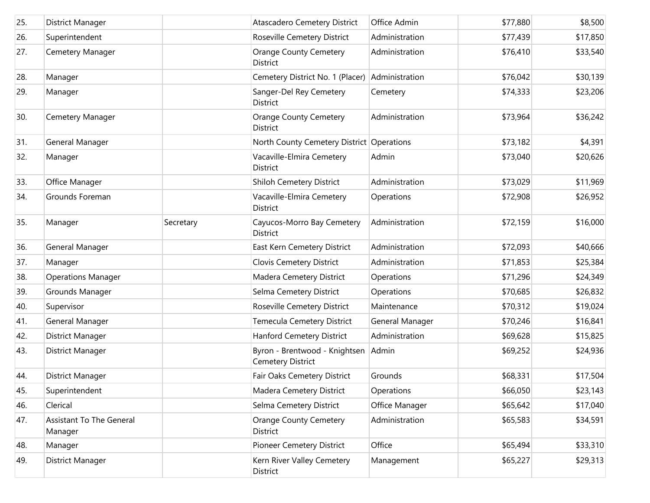| 25. | District Manager                    |           | <b>Atascadero Cemetery District</b>                | Office Admin    | \$77,880 | \$8,500  |
|-----|-------------------------------------|-----------|----------------------------------------------------|-----------------|----------|----------|
| 26. | Superintendent                      |           | Roseville Cemetery District                        | Administration  | \$77,439 | \$17,850 |
| 27. | Cemetery Manager                    |           | <b>Orange County Cemetery</b><br><b>District</b>   | Administration  | \$76,410 | \$33,540 |
| 28. | Manager                             |           | Cemetery District No. 1 (Placer)                   | Administration  | \$76,042 | \$30,139 |
| 29. | Manager                             |           | Sanger-Del Rey Cemetery<br>District                | Cemetery        | \$74,333 | \$23,206 |
| 30. | Cemetery Manager                    |           | <b>Orange County Cemetery</b><br>District          | Administration  | \$73,964 | \$36,242 |
| 31. | General Manager                     |           | North County Cemetery District Operations          |                 | \$73,182 | \$4,391  |
| 32. | Manager                             |           | Vacaville-Elmira Cemetery<br>District              | Admin           | \$73,040 | \$20,626 |
| 33. | Office Manager                      |           | Shiloh Cemetery District                           | Administration  | \$73,029 | \$11,969 |
| 34. | Grounds Foreman                     |           | Vacaville-Elmira Cemetery<br>District              | Operations      | \$72,908 | \$26,952 |
| 35. | Manager                             | Secretary | Cayucos-Morro Bay Cemetery<br><b>District</b>      | Administration  | \$72,159 | \$16,000 |
| 36. | General Manager                     |           | East Kern Cemetery District                        | Administration  | \$72,093 | \$40,666 |
| 37. | Manager                             |           | Clovis Cemetery District                           | Administration  | \$71,853 | \$25,384 |
| 38. | <b>Operations Manager</b>           |           | Madera Cemetery District                           | Operations      | \$71,296 | \$24,349 |
| 39. | Grounds Manager                     |           | Selma Cemetery District                            | Operations      | \$70,685 | \$26,832 |
| 40. | Supervisor                          |           | Roseville Cemetery District                        | Maintenance     | \$70,312 | \$19,024 |
| 41. | General Manager                     |           | Temecula Cemetery District                         | General Manager | \$70,246 | \$16,841 |
| 42. | District Manager                    |           | Hanford Cemetery District                          | Administration  | \$69,628 | \$15,825 |
| 43. | District Manager                    |           | Byron - Brentwood - Knightsen<br>Cemetery District | Admin           | \$69,252 | \$24,936 |
| 44. | District Manager                    |           | Fair Oaks Cemetery District                        | Grounds         | \$68,331 | \$17,504 |
| 45. | Superintendent                      |           | Madera Cemetery District                           | Operations      | \$66,050 | \$23,143 |
| 46. | Clerical                            |           | Selma Cemetery District                            | Office Manager  | \$65,642 | \$17,040 |
| 47. | Assistant To The General<br>Manager |           | <b>Orange County Cemetery</b><br>District          | Administration  | \$65,583 | \$34,591 |
| 48. | Manager                             |           | Pioneer Cemetery District                          | Office          | \$65,494 | \$33,310 |
| 49. | District Manager                    |           | Kern River Valley Cemetery<br>District             | Management      | \$65,227 | \$29,313 |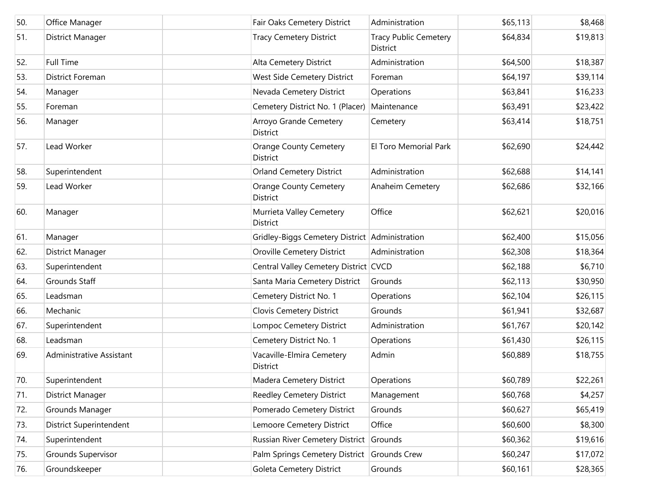| 50. | Office Manager                 | Fair Oaks Cemetery District                      | Administration                           | \$65,113 | \$8,468  |
|-----|--------------------------------|--------------------------------------------------|------------------------------------------|----------|----------|
| 51. | District Manager               | <b>Tracy Cemetery District</b>                   | <b>Tracy Public Cemetery</b><br>District | \$64,834 | \$19,813 |
| 52. | <b>Full Time</b>               | Alta Cemetery District                           | Administration                           | \$64,500 | \$18,387 |
| 53. | <b>District Foreman</b>        | West Side Cemetery District                      | Foreman                                  | \$64,197 | \$39,114 |
| 54. | Manager                        | Nevada Cemetery District                         | Operations                               | \$63,841 | \$16,233 |
| 55. | Foreman                        | Cemetery District No. 1 (Placer)                 | Maintenance                              | \$63,491 | \$23,422 |
| 56. | Manager                        | Arroyo Grande Cemetery<br>District               | Cemetery                                 | \$63,414 | \$18,751 |
| 57. | Lead Worker                    | <b>Orange County Cemetery</b><br><b>District</b> | El Toro Memorial Park                    | \$62,690 | \$24,442 |
| 58. | Superintendent                 | <b>Orland Cemetery District</b>                  | Administration                           | \$62,688 | \$14,141 |
| 59. | Lead Worker                    | Orange County Cemetery<br>District               | Anaheim Cemetery                         | \$62,686 | \$32,166 |
| 60. | Manager                        | Murrieta Valley Cemetery<br>District             | Office                                   | \$62,621 | \$20,016 |
| 61. | Manager                        | Gridley-Biggs Cemetery District Administration   |                                          | \$62,400 | \$15,056 |
| 62. | <b>District Manager</b>        | Oroville Cemetery District                       | Administration                           | \$62,308 | \$18,364 |
| 63. | Superintendent                 | Central Valley Cemetery District CVCD            |                                          | \$62,188 | \$6,710  |
| 64. | <b>Grounds Staff</b>           | Santa Maria Cemetery District                    | Grounds                                  | \$62,113 | \$30,950 |
| 65. | Leadsman                       | Cemetery District No. 1                          | Operations                               | \$62,104 | \$26,115 |
| 66. | Mechanic                       | Clovis Cemetery District                         | Grounds                                  | \$61,941 | \$32,687 |
| 67. | Superintendent                 | Lompoc Cemetery District                         | Administration                           | \$61,767 | \$20,142 |
| 68. | Leadsman                       | Cemetery District No. 1                          | Operations                               | \$61,430 | \$26,115 |
| 69. | Administrative Assistant       | Vacaville-Elmira Cemetery<br>District            | Admin                                    | \$60,889 | \$18,755 |
| 70. | Superintendent                 | Madera Cemetery District                         | Operations                               | \$60,789 | \$22,261 |
| 71. | District Manager               | Reedley Cemetery District                        | Management                               | \$60,768 | \$4,257  |
| 72. | Grounds Manager                | Pomerado Cemetery District                       | Grounds                                  | \$60,627 | \$65,419 |
| 73. | <b>District Superintendent</b> | Lemoore Cemetery District                        | Office                                   | \$60,600 | \$8,300  |
| 74. | Superintendent                 | Russian River Cemetery District Grounds          |                                          | \$60,362 | \$19,616 |
| 75. | Grounds Supervisor             | Palm Springs Cemetery District                   | Grounds Crew                             | \$60,247 | \$17,072 |
| 76. | Groundskeeper                  | Goleta Cemetery District                         | Grounds                                  | \$60,161 | \$28,365 |